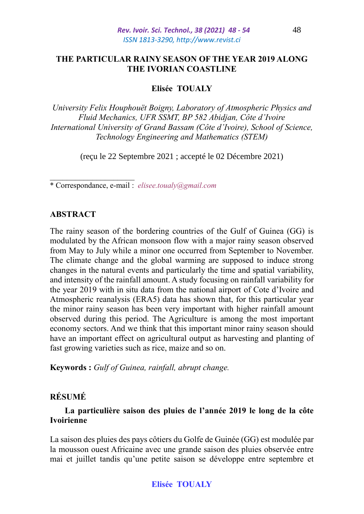# **THE PARTICULAR RAINY SEASON OF THE YEAR 2019 ALONG THE IVORIAN COASTLINE**

# **Elisée TOUALY**

*University Felix Houphouët Boigny, Laboratory of Atmospheric Physics and Fluid Mechanics, UFR SSMT, BP 582 Abidjan, Côte d'Ivoire International University of Grand Bassam (Côte d'Ivoire), School of Science, Technology Engineering and Mathematics (STEM)*

(reçu le 22 Septembre 2021 ; accepté le 02 Décembre 2021)

\* Correspondance, e-mail : *elisee.toualy@gmail.com*

## **ABSTRACT**

The rainy season of the bordering countries of the Gulf of Guinea (GG) is modulated by the African monsoon flow with a major rainy season observed from May to July while a minor one occurred from September to November. The climate change and the global warming are supposed to induce strong changes in the natural events and particularly the time and spatial variability, and intensity of the rainfall amount. A study focusing on rainfall variability for the year 2019 with in situ data from the national airport of Cote d'Ivoire and Atmospheric reanalysis (ERA5) data has shown that, for this particular year the minor rainy season has been very important with higher rainfall amount observed during this period. The Agriculture is among the most important economy sectors. And we think that this important minor rainy season should have an important effect on agricultural output as harvesting and planting of fast growing varieties such as rice, maize and so on.

**Keywords :** *Gulf of Guinea, rainfall, abrupt change.*

# **RÉSUMÉ**

# **La particulière saison des pluies de l'année 2019 le long de la côte Ivoirienne**

La saison des pluies des pays côtiers du Golfe de Guinée (GG) est modulée par la mousson ouest Africaine avec une grande saison des pluies observée entre mai et juillet tandis qu'une petite saison se développe entre septembre et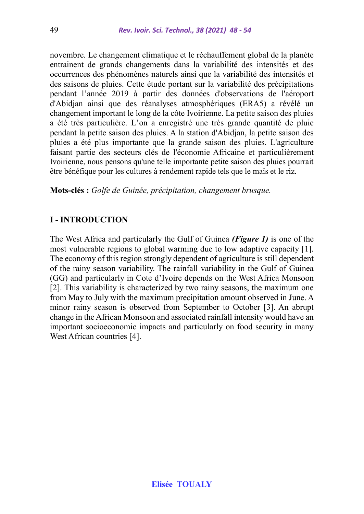novembre. Le changement climatique et le réchauffement global de la planète entrainent de grands changements dans la variabilité des intensités et des occurrences des phénomènes naturels ainsi que la variabilité des intensités et des saisons de pluies. Cette étude portant sur la variabilité des précipitations pendant l'année 2019 à partir des données d'observations de l'aéroport d'Abidjan ainsi que des réanalyses atmosphériques (ERA5) a révélé un changement important le long de la côte Ivoirienne. La petite saison des pluies a été très particulière. L'on a enregistré une très grande quantité de pluie pendant la petite saison des pluies. A la station d'Abidjan, la petite saison des pluies a été plus importante que la grande saison des pluies. L'agriculture faisant partie des secteurs clés de l'économie Africaine et particulièrement Ivoirienne, nous pensons qu'une telle importante petite saison des pluies pourrait être bénéfique pour les cultures à rendement rapide tels que le maïs et le riz.

**Mots-clés :** *Golfe de Guinée, précipitation, changement brusque.*

# **I - INTRODUCTION**

The West Africa and particularly the Gulf of Guinea *(Figure 1)* is one of the most vulnerable regions to global warming due to low adaptive capacity [1]. The economy of this region strongly dependent of agriculture is still dependent of the rainy season variability. The rainfall variability in the Gulf of Guinea (GG) and particularly in Cote d'Ivoire depends on the West Africa Monsoon [2]. This variability is characterized by two rainy seasons, the maximum one from May to July with the maximum precipitation amount observed in June. A minor rainy season is observed from September to October [3]. An abrupt change in the African Monsoon and associated rainfall intensity would have an important socioeconomic impacts and particularly on food security in many West African countries [4].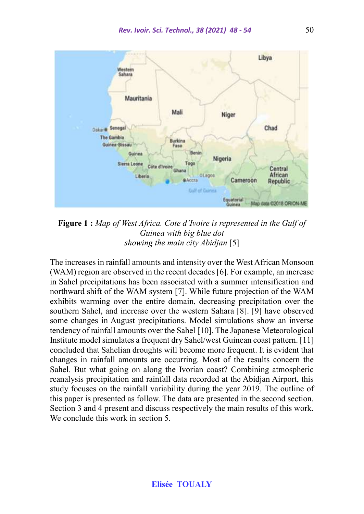

**Figure 1 :** *Map of West Africa. Cote d'Ivoire is represented in the Gulf of Guinea with big blue dot showing the main city Abidjan* [5]

The increases in rainfall amounts and intensity over the West African Monsoon (WAM) region are observed in the recent decades [6]. For example, an increase in Sahel precipitations has been associated with a summer intensification and northward shift of the WAM system [7]. While future projection of the WAM exhibits warming over the entire domain, decreasing precipitation over the southern Sahel, and increase over the western Sahara [8]. [9] have observed some changes in August precipitations. Model simulations show an inverse tendency of rainfall amounts over the Sahel [10]. The Japanese Meteorological Institute model simulates a frequent dry Sahel/west Guinean coast pattern. [11] concluded that Sahelian droughts will become more frequent. It is evident that changes in rainfall amounts are occurring. Most of the results concern the Sahel. But what going on along the Ivorian coast? Combining atmospheric reanalysis precipitation and rainfall data recorded at the Abidjan Airport, this study focuses on the rainfall variability during the year 2019. The outline of this paper is presented as follow. The data are presented in the second section. Section 3 and 4 present and discuss respectively the main results of this work. We conclude this work in section 5.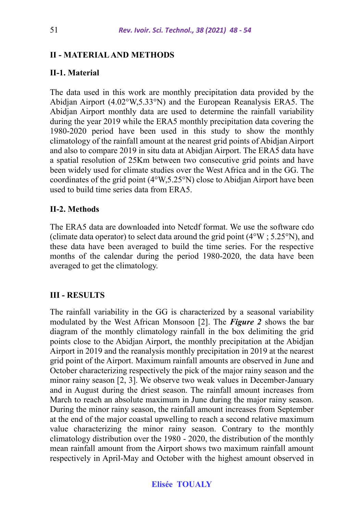### **II - MATERIALAND METHODS**

### **II-1. Material**

The data used in this work are monthly precipitation data provided by the Abidjan Airport (4.02°W,5.33°N) and the European Reanalysis ERA5. The Abidjan Airport monthly data are used to determine the rainfall variability during the year 2019 while the ERA5 monthly precipitation data covering the 1980-2020 period have been used in this study to show the monthly climatology of the rainfall amount at the nearest grid points of Abidjan Airport and also to compare 2019 in situ data at Abidjan Airport. The ERA5 data have a spatial resolution of 25Km between two consecutive grid points and have been widely used for climate studies over the West Africa and in the GG. The coordinates of the grid point (4°W,5.25°N) close to Abidjan Airport have been used to build time series data from ERA5.

### **II-2. Methods**

The ERA5 data are downloaded into Netcdf format. We use the software cdo (climate data operator) to select data around the grid point  $(4°W; 5.25°N)$ , and these data have been averaged to build the time series. For the respective months of the calendar during the period 1980-2020, the data have been averaged to get the climatology.

### **III - RESULTS**

The rainfall variability in the GG is characterized by a seasonal variability modulated by the West African Monsoon [2]. The *Figure 2* shows the bar diagram of the monthly climatology rainfall in the box delimiting the grid points close to the Abidjan Airport, the monthly precipitation at the Abidjan Airport in 2019 and the reanalysis monthly precipitation in 2019 at the nearest grid point of the Airport. Maximum rainfall amounts are observed in June and October characterizing respectively the pick of the major rainy season and the minor rainy season [2, 3]. We observe two weak values in December-January and in August during the driest season. The rainfall amount increases from March to reach an absolute maximum in June during the major rainy season. During the minor rainy season, the rainfall amount increases from September at the end of the major coastal upwelling to reach a second relative maximum value characterizing the minor rainy season. Contrary to the monthly climatology distribution over the 1980 - 2020, the distribution of the monthly mean rainfall amount from the Airport shows two maximum rainfall amount respectively in April-May and October with the highest amount observed in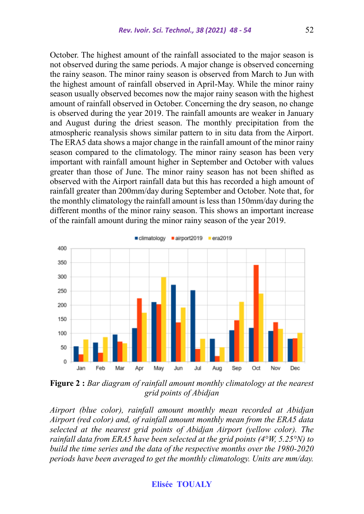October. The highest amount of the rainfall associated to the major season is not observed during the same periods. A major change is observed concerning the rainy season. The minor rainy season is observed from March to Jun with the highest amount of rainfall observed in April-May. While the minor rainy season usually observed becomes now the major rainy season with the highest amount of rainfall observed in October. Concerning the dry season, no change is observed during the year 2019. The rainfall amounts are weaker in January and August during the driest season. The monthly precipitation from the atmospheric reanalysis shows similar pattern to in situ data from the Airport. The ERA5 data shows a major change in the rainfall amount of the minor rainy season compared to the climatology. The minor rainy season has been very important with rainfall amount higher in September and October with values greater than those of June. The minor rainy season has not been shifted as observed with the Airport rainfall data but this has recorded a high amount of rainfall greater than 200mm/day during September and October. Note that, for the monthly climatology the rainfall amount is less than 150mm/day during the different months of the minor rainy season. This shows an important increase of the rainfall amount during the minor rainy season of the year 2019.



**Figure 2 :** *Bar diagram of rainfall amount monthly climatology at the nearest grid points of Abidjan*

*Airport (blue color), rainfall amount monthly mean recorded at Abidjan Airport (red color) and, of rainfall amount monthly mean from the ERA5 data selected at the nearest grid points of Abidjan Airport (yellow color). The rainfall data from ERA5 have been selected at the grid points (4°W, 5.25°N) to build the time series and the data of the respective months over the 1980-2020 periods have been averaged to get the monthly climatology. Units are mm/day.*

## **Elisée TOUALY**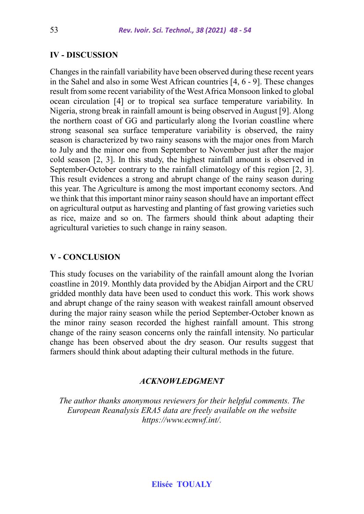### **IV - DISCUSSION**

Changes in the rainfall variability have been observed during these recent years in the Sahel and also in some West African countries [4, 6 - 9]. These changes result from some recent variability of the West Africa Monsoon linked to global ocean circulation [4] or to tropical sea surface temperature variability. In Nigeria, strong break in rainfall amount is being observed in August [9]. Along the northern coast of GG and particularly along the Ivorian coastline where strong seasonal sea surface temperature variability is observed, the rainy season is characterized by two rainy seasons with the major ones from March to July and the minor one from September to November just after the major cold season [2, 3]. In this study, the highest rainfall amount is observed in September-October contrary to the rainfall climatology of this region [2, 3]. This result evidences a strong and abrupt change of the rainy season during this year. The Agriculture is among the most important economy sectors. And we think that this important minor rainy season should have an important effect on agricultural output as harvesting and planting of fast growing varieties such as rice, maize and so on. The farmers should think about adapting their agricultural varieties to such change in rainy season.

### **V - CONCLUSION**

This study focuses on the variability of the rainfall amount along the Ivorian coastline in 2019. Monthly data provided by the Abidjan Airport and the CRU gridded monthly data have been used to conduct this work. This work shows and abrupt change of the rainy season with weakest rainfall amount observed during the major rainy season while the period September-October known as the minor rainy season recorded the highest rainfall amount. This strong change of the rainy season concerns only the rainfall intensity. No particular change has been observed about the dry season. Our results suggest that farmers should think about adapting their cultural methods in the future.

#### *ACKNOWLEDGMENT*

*The author thanks anonymous reviewers for their helpful comments. The European Reanalysis ERA5 data are freely available on the website https://www.ecmwf.int/.*